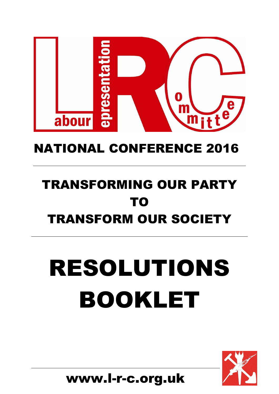

# NATIONAL CONFERENCE 2016

# TRANSFORMING OUR PARTY TO TRANSFORM OUR SOCIETY

# RESOLUTIONS BOOKLET



www.l-r-c.org.uk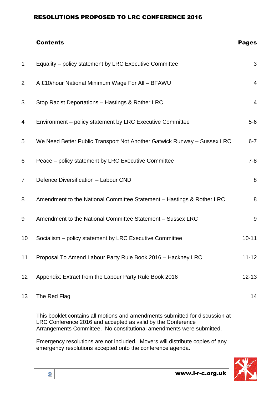# Contents Pages 1 Equality – policy statement by LRC Executive Committee 3 2 A £10/hour National Minimum Wage For All – BFAWU 4 3 Stop Racist Deportations – Hastings & Rother LRC 4 4 Environment – policy statement by LRC Executive Committee 5-6 5 We Need Better Public Transport Not Another Gatwick Runway – Sussex LRC 6-7 6 Peace – policy statement by LRC Executive Committee 7-8 7 Defence Diversification – Labour CND 8 8 Amendment to the National Committee Statement – Hastings & Rother LRC 8 9 Amendment to the National Committee Statement – Sussex LRC 9 10 Socialism – policy statement by LRC Executive Committee 10 10-11 11 Proposal To Amend Labour Party Rule Book 2016 – Hackney LRC 11-12 12 Appendix: Extract from the Labour Party Rule Book 2016 13 The Red Flag 14

This booklet contains all motions and amendments submitted for discussion at LRC Conference 2016 and accepted as valid by the Conference Arrangements Committee. No constitutional amendments were submitted.

Emergency resolutions are not included. Movers will distribute copies of any emergency resolutions accepted onto the conference agenda.

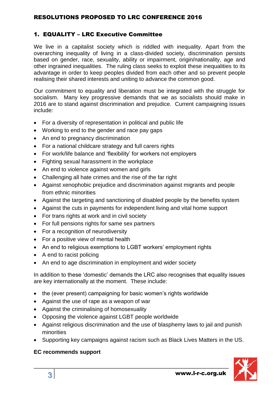# 1. EQUALITY – LRC Executive Committee

We live in a capitalist society which is riddled with inequality. Apart from the overarching inequality of living in a class-divided society, discrimination persists based on gender, race, sexuality, ability or impairment, origin/nationality, age and other ingrained inequalities. The ruling class seeks to exploit these inequalities to its advantage in order to keep peoples divided from each other and so prevent people realising their shared interests and uniting to advance the common good.

Our commitment to equality and liberation must be integrated with the struggle for socialism. Many key progressive demands that we as socialists should make in 2016 are to stand against discrimination and prejudice. Current campaigning issues include:

- For a diversity of representation in political and public life
- Working to end to the gender and race pay gaps
- An end to pregnancy discrimination
- For a national childcare strategy and full carers rights
- For work/life balance and 'flexibility' for workers not employers
- Fighting sexual harassment in the workplace
- An end to violence against women and girls
- Challenging all hate crimes and the rise of the far right
- Against xenophobic prejudice and discrimination against migrants and people from ethnic minorities
- Against the targeting and sanctioning of disabled people by the benefits system
- Against the cuts in payments for independent living and vital home support
- For trans rights at work and in civil society
- For full pensions rights for same sex partners
- For a recognition of neurodiversity
- For a positive view of mental health
- An end to religious exemptions to LGBT workers' employment rights
- A end to racist policing
- An end to age discrimination in employment and wider society

In addition to these 'domestic' demands the LRC also recognises that equality issues are key internationally at the moment. These include:

- the (ever present) campaigning for basic women's rights worldwide
- Against the use of rape as a weapon of war
- Against the criminalising of homosexuality
- Opposing the violence against LGBT people worldwide
- Against religious discrimination and the use of blasphemy laws to jail and punish minorities
- Supporting key campaigns against racism such as Black Lives Matters in the US.

# **EC recommends support**

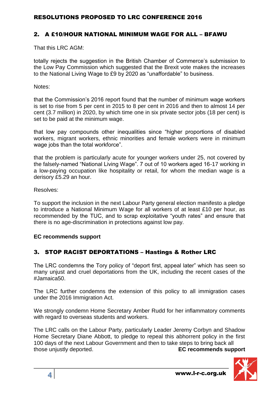#### 2. A £10/HOUR NATIONAL MINIMUM WAGE FOR ALL – BFAWU

That this LRC AGM:

totally rejects the suggestion in the British Chamber of Commerce's submission to the Low Pay Commission which suggested that the Brexit vote makes the increases to the National Living Wage to £9 by 2020 as "unaffordable" to business.

Notes:

that the Commission's 2016 report found that the number of minimum wage workers is set to rise from 5 per cent in 2015 to 8 per cent in 2016 and then to almost 14 per cent (3.7 million) in 2020, by which time one in six private sector jobs (18 per cent) is set to be paid at the minimum wage.

that low pay compounds other inequalities since "higher proportions of disabled workers, migrant workers, ethnic minorities and female workers were in minimum wage jobs than the total workforce".

that the problem is particularly acute for younger workers under 25, not covered by the falsely-named "National Living Wage". 7 out of 10 workers aged 16-17 working in a low-paying occupation like hospitality or retail, for whom the median wage is a derisory £5.29 an hour.

Resolves:

To support the inclusion in the next Labour Party general election manifesto a pledge to introduce a National Minimum Wage for all workers of at least £10 per hour, as recommended by the TUC, and to scrap exploitative "youth rates" and ensure that there is no age-discrimination in protections against low pay.

#### **EC recommends support**

# 3. STOP RACIST DEPORTATIONS – Hastings & Rother LRC

The LRC condemns the Tory policy of "deport first, appeal later" which has seen so many unjust and cruel deportations from the UK, including the recent cases of the #Jamaica50.

The LRC further condemns the extension of this policy to all immigration cases under the 2016 Immigration Act.

We strongly condemn Home Secretary Amber Rudd for her inflammatory comments with regard to overseas students and workers.

The LRC calls on the Labour Party, particularly Leader Jeremy Corbyn and Shadow Home Secretary Diane Abbott, to pledge to repeal this abhorrent policy in the first 100 days of the next Labour Government and then to take steps to bring back all those unjustly deported. **EC recommends support**

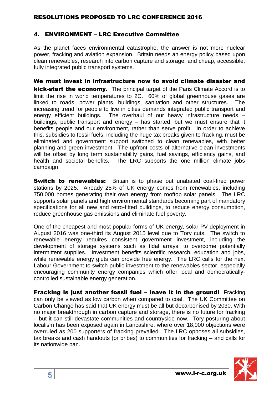# 4. ENVIRONMENT – LRC Executive Committee

As the planet faces environmental catastrophe, the answer is not more nuclear power, fracking and aviation expansion. Britain needs an energy policy based upon clean renewables, research into carbon capture and storage, and cheap, accessible, fully integrated public transport systems.

We must invest in infrastructure now to avoid climate disaster and kick-start the economy. The principal target of the Paris Climate Accord is to limit the rise in world temperatures to 2C. 60% of global greenhouse gases are linked to roads, power plants, buildings, sanitation and other structures. The increasing trend for people to live in cities demands integrated public transport and energy efficient buildings. The overhaul of our heavy infrastructure needs – buildings, public transport and energy – has started, but we must ensure that it benefits people and our environment, rather than serve profit. In order to achieve this, subsidies to fossil fuels, including the huge tax breaks given to fracking, must be eliminated and government support switched to clean renewables, with better planning and green investment. The upfront costs of alternative clean investments will be offset by long term sustainability gains, fuel savings, efficiency gains, and health and societal benefits. The LRC supports the one million climate jobs campaign.

**Switch to renewables:** Britain is to phase out unabated coal-fired power stations by 2025. Already 25% of UK energy comes from renewables, including 750,000 homes generating their own energy from rooftop solar panels. The LRC supports solar panels and high environmental standards becoming part of mandatory specifications for all new and retro-fitted buildings, to reduce energy consumption, reduce greenhouse gas emissions and eliminate fuel poverty.

One of the cheapest and most popular forms of UK energy, solar PV deployment in August 2016 was one-third its August 2015 level due to Tory cuts. The switch to renewable energy requires consistent government investment, including the development of storage systems such as tidal arrays, to overcome potentially intermittent supplies. Investment benefits scientific research, education and jobs, while renewable energy gluts can provide free energy. The LRC calls for the next Labour Government to switch public investment to the renewables sector, especially encouraging community energy companies which offer local and democraticallycontrolled sustainable energy generation.

**Fracking is just another fossil fuel - leave it in the ground!** Fracking can only be viewed as low carbon when compared to coal. The UK Committee on Carbon Change has said that UK energy must be all but decarbonised by 2030. With no major breakthrough in carbon capture and storage, there is no future for fracking – but it can still devastate communities and countryside now. Tory posturing about localism has been exposed again in Lancashire, where over 18,000 objections were overruled as 200 supporters of fracking prevailed. The LRC opposes all subsidies, tax breaks and cash handouts (or bribes) to communities for fracking – and calls for its nationwide ban.

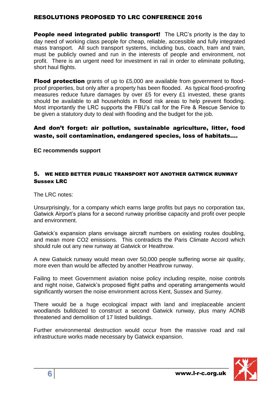**People need integrated public transport!** The LRC's priority is the day to day need of working class people for cheap, reliable, accessible and fully integrated mass transport. All such transport systems, including bus, coach, tram and train, must be publicly owned and run in the interests of people and environment, not profit. There is an urgent need for investment in rail in order to eliminate polluting, short haul flights.

**Flood protection** grants of up to £5,000 are available from government to floodproof properties, but only after a property has been flooded. As typical flood-proofing measures reduce future damages by over £5 for every £1 invested, these grants should be available to all households in flood risk areas to help prevent flooding. Most importantly the LRC supports the FBU's call for the Fire & Rescue Service to be given a statutory duty to deal with flooding and the budget for the job.

# And don't forget: air pollution, sustainable agriculture, litter, food waste, soil contamination, endangered species, loss of habitats….

**EC recommends support**

#### 5. WE NEED BETTER PUBLIC TRANSPORT NOT ANOTHER GATWICK RUNWAY Sussex LRC

The LRC notes:

Unsurprisingly, for a company which earns large profits but pays no corporation tax, Gatwick Airport's plans for a second runway prioritise capacity and profit over people and environment.

Gatwick's expansion plans envisage aircraft numbers on existing routes doubling, and mean more CO2 emissions. This contradicts the Paris Climate Accord which should rule out any new runway at Gatwick or Heathrow.

A new Gatwick runway would mean over 50,000 people suffering worse air quality, more even than would be affected by another Heathrow runway.

Failing to meet Government aviation noise policy including respite, noise controls and night noise, Gatwick's proposed flight paths and operating arrangements would significantly worsen the noise environment across Kent, Sussex and Surrey.

There would be a huge ecological impact with land and irreplaceable ancient woodlands bulldozed to construct a second Gatwick runway, plus many AONB threatened and demolition of 17 listed buildings.

Further environmental destruction would occur from the massive road and rail infrastructure works made necessary by Gatwick expansion.

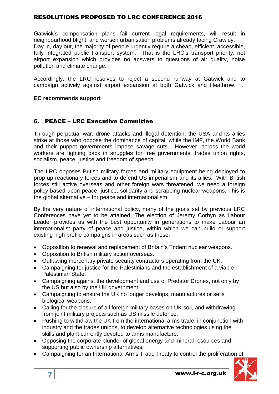Gatwick's compensation plans fail current legal requirements, will result in neighbourhood blight, and worsen urbanisation problems already facing Crawley. Day in, day out, the majority of people urgently require a cheap, efficient, accessible, fully integrated public transport system. That is the LRC's transport priority, not airport expansion which provides no answers to questions of air quality, noise pollution and climate change.

Accordingly, the LRC resolves to reject a second runway at Gatwick and to campaign actively against airport expansion at both Gatwick and Heathrow. .

#### **EC recommends support**

#### 6. PEACE – LRC Executive Committee

Through perpetual war, drone attacks and illegal detention, the USA and its allies strike at those who oppose the dominance of capital, while the IMF, the World Bank and their puppet governments impose savage cuts. However, across the world workers are fighting back in struggles for free governments, trades union rights, socialism, peace, justice and freedom of speech.

The LRC opposes British military forces and military equipment being deployed to prop up reactionary forces and to defend US imperialism and its allies. With British forces still active overseas and other foreign wars threatened, we need a foreign policy based upon peace, justice, solidarity and scrapping nuclear weapons. This is the global alternative – for peace and internationalism.

By the very nature of international policy, many of the goals set by previous LRC Conferences have yet to be attained. The election of Jeremy Corbyn as Labour Leader provides us with the best opportunity in generations to make Labour an internationalist party of peace and justice, within which we can build or support existing high profile campaigns in areas such as these:

- Opposition to renewal and replacement of Britain's Trident nuclear weapons.
- Opposition to British military action overseas.
- Outlawing mercenary private security contractors operating from the UK.
- Campaigning for justice for the Palestinians and the establishment of a viable Palestinian State.
- Campaigning against the development and use of Predator Drones, not only by the US but also by the UK government.
- Campaigning to ensure the UK no longer develops, manufactures or sells biological weapons.
- Calling for the closure of all foreign military bases on UK soil, and withdrawing from joint military projects such as US missile defence.
- Pushing to withdraw the UK from the international arms trade, in conjunction with industry and the trades unions, to develop alternative technologies using the skills and plant currently devoted to arms manufacture.
- Opposing the corporate plunder of global energy and mineral resources and supporting public ownership alternatives.
- Campaigning for an International Arms Trade Treaty to control the proliferation of

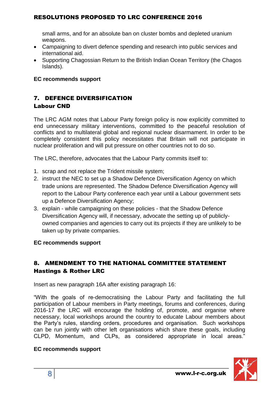small arms, and for an absolute ban on cluster bombs and depleted uranium weapons.

- Campaigning to divert defence spending and research into public services and international aid.
- Supporting Chagossian Return to the British Indian Ocean Territory (the Chagos Islands).

#### **EC recommends support**

# 7. DEFENCE DIVERSIFICATION Labour CND

The LRC AGM notes that Labour Party foreign policy is now explicitly committed to end unnecessary military interventions, committed to the peaceful resolution of conflicts and to multilateral global and regional nuclear disarmament. In order to be completely consistent this policy necessitates that Britain will not participate in nuclear proliferation and will put pressure on other countries not to do so.

The LRC, therefore, advocates that the Labour Party commits itself to:

- 1. scrap and not replace the Trident missile system;
- 2. instruct the NEC to set up a Shadow Defence Diversification Agency on which trade unions are represented. The Shadow Defence Diversification Agency will report to the Labour Party conference each year until a Labour government sets up a Defence Diversification Agency;
- 3. explain while campaigning on these policies that the Shadow Defence Diversification Agency will, if necessary, advocate the setting up of publiclyowned companies and agencies to carry out its projects if they are unlikely to be taken up by private companies.

#### **EC recommends support**

# 8. AMENDMENT TO THE NATIONAL COMMITTEE STATEMENT Hastings & Rother LRC

Insert as new paragraph 16A after existing paragraph 16:

"With the goals of re-democratising the Labour Party and facilitating the full participation of Labour members in Party meetings, forums and conferences, during 2016-17 the LRC will encourage the holding of, promote, and organise where necessary, local workshops around the country to educate Labour members about the Party's rules, standing orders, procedures and organisation. Such workshops can be run jointly with other left organisations which share these goals, including CLPD, Momentum, and CLPs, as considered appropriate in local areas."

#### **EC recommends support**

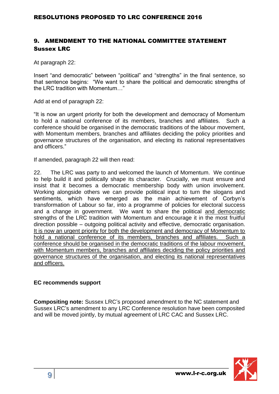# 9. AMENDMENT TO THE NATIONAL COMMITTEE STATEMENT Sussex LRC

At paragraph 22:

Insert "and democratic" between "political" and "strengths" in the final sentence, so that sentence begins: "We want to share the political and democratic strengths of the LRC tradition with Momentum…"

Add at end of paragraph 22:

"It is now an urgent priority for both the development and democracy of Momentum to hold a national conference of its members, branches and affiliates. Such a conference should be organised in the democratic traditions of the labour movement, with Momentum members, branches and affiliates deciding the policy priorities and governance structures of the organisation, and electing its national representatives and officers."

If amended, paragraph 22 will then read:

22. The LRC was party to and welcomed the launch of Momentum. We continue to help build it and politically shape its character. Crucially, we must ensure and insist that it becomes a democratic membership body with union involvement. Working alongside others we can provide political input to turn the slogans and sentiments, which have emerged as the main achievement of Corbyn's transformation of Labour so far, into a programme of policies for electoral success and a change in government. We want to share the political and democratic strengths of the LRC tradition with Momentum and encourage it in the most fruitful direction possible – outgoing political activity and effective, democratic organisation. It is now an urgent priority for both the development and democracy of Momentum to hold a national conference of its members, branches and affiliates. Such a conference should be organised in the democratic traditions of the labour movement, with Momentum members, branches and affiliates deciding the policy priorities and governance structures of the organisation, and electing its national representatives and officers.

#### **EC recommends support**

**Compositing note:** Sussex LRC's proposed amendment to the NC statement and Sussex LRC's amendment to any LRC Conference resolution have been composited and will be moved jointly, by mutual agreement of LRC CAC and Sussex LRC.

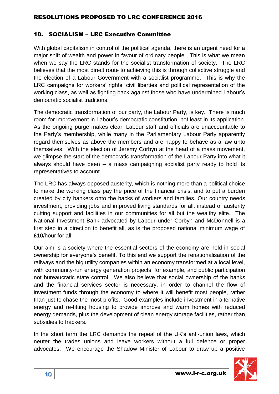# 10. SOCIALISM – LRC Executive Committee

With global capitalism in control of the political agenda, there is an urgent need for a major shift of wealth and power in favour of ordinary people. This is what we mean when we say the LRC stands for the socialist transformation of society. The LRC believes that the most direct route to achieving this is through collective struggle and the election of a Labour Government with a socialist programme. This is why the LRC campaigns for workers' rights, civil liberties and political representation of the working class, as well as fighting back against those who have undermined Labour's democratic socialist traditions.

The democratic transformation of our party, the Labour Party, is key. There is much room for improvement in Labour's democratic constitution, not least in its application. As the ongoing purge makes clear, Labour staff and officials are unaccountable to the Party's membership, while many in the Parliamentary Labour Party apparently regard themselves as above the members and are happy to behave as a law unto themselves. With the election of Jeremy Corbyn at the head of a mass movement, we glimpse the start of the democratic transformation of the Labour Party into what it always should have been – a mass campaigning socialist party ready to hold its representatives to account.

The LRC has always opposed austerity, which is nothing more than a political choice to make the working class pay the price of the financial crisis, and to put a burden created by city bankers onto the backs of workers and families. Our country needs investment, providing jobs and improved living standards for all, instead of austerity cutting support and facilities in our communities for all but the wealthy elite. The National Investment Bank advocated by Labour under Corbyn and McDonnell is a first step in a direction to benefit all, as is the proposed national minimum wage of £10/hour for all.

Our aim is a society where the essential sectors of the economy are held in social ownership for everyone's benefit. To this end we support the renationalisation of the railways and the big utility companies within an economy transformed at a local level, with community-run energy generation projects, for example, and public participation not bureaucratic state control. We also believe that social ownership of the banks and the financial services sector is necessary, in order to channel the flow of investment funds through the economy to where it will benefit most people, rather than just to chase the most profits. Good examples include investment in alternative energy and re-fitting housing to provide improve and warm homes with reduced energy demands, plus the development of clean energy storage facilities, rather than subsidies to frackers.

In the short term the LRC demands the repeal of the UK's anti-union laws, which neuter the trades unions and leave workers without a full defence or proper advocates. We encourage the Shadow Minister of Labour to draw up a positive

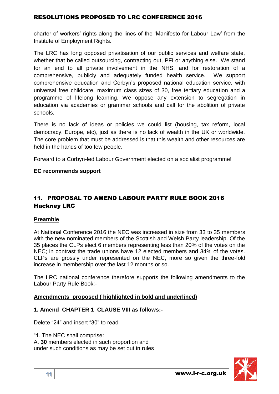charter of workers' rights along the lines of the 'Manifesto for Labour Law' from the Institute of Employment Rights.

The LRC has long opposed privatisation of our public services and welfare state, whether that be called outsourcing, contracting out, PFI or anything else. We stand for an end to all private involvement in the NHS, and for restoration of a comprehensive, publicly and adequately funded health service. We support comprehensive education and Corbyn's proposed national education service, with universal free childcare, maximum class sizes of 30, free tertiary education and a programme of lifelong learning. We oppose any extension to segregation in education via academies or grammar schools and call for the abolition of private schools.

There is no lack of ideas or policies we could list (housing, tax reform, local democracy, Europe, etc), just as there is no lack of wealth in the UK or worldwide. The core problem that must be addressed is that this wealth and other resources are held in the hands of too few people.

Forward to a Corbyn-led Labour Government elected on a socialist programme!

#### **EC recommends support**

# 11. PROPOSAL TO AMEND LABOUR PARTY RULE BOOK 2016 Hackney LRC

# **Preamble**

At National Conference 2016 the NEC was increased in size from 33 to 35 members with the new nominated members of the Scottish and Welsh Party leadership. Of the 35 places the CLPs elect 6 members representing less than 20% of the votes on the NEC; in contrast the trade unions have 12 elected members and 34% of the votes. CLPs are grossly under represented on the NEC, more so given the three-fold increase in membership over the last 12 months or so.

The LRC national conference therefore supports the following amendments to the Labour Party Rule Book:-

# **Amendments proposed ( highlighted in bold and underlined)**

# **1. Amend CHAPTER 1 CLAUSE VIII as follows:-**

Delete "24" and insert "30" to read

"1. The NEC shall comprise: A. **30** members elected in such proportion and under such conditions as may be set out in rules

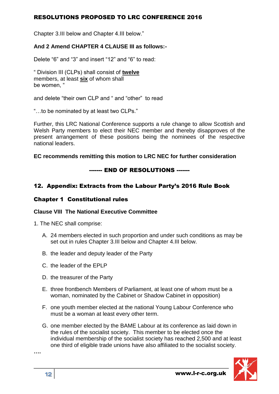Chapter 3.III below and Chapter 4.III below."

#### **And 2 Amend CHAPTER 4 CLAUSE III as follows:-**

Delete "6" and "3" and insert "12" and "6" to read:

" Division III (CLPs) shall consist of **twelve** members, at least **six** of whom shall be women, "

and delete "their own CLP and " and "other" to read

"…to be nominated by at least two CLPs."

Further, this LRC National Conference supports a rule change to allow Scottish and Welsh Party members to elect their NEC member and thereby disapproves of the present arrangement of these positions being the nominees of the respective national leaders.

#### **EC recommends remitting this motion to LRC NEC for further consideration**

#### ------- END OF RESOLUTIONS -------

#### 12. Appendix: Extracts from the Labour Party's 2016 Rule Book

#### Chapter 1 Constitutional rules

#### **Clause VIII The National Executive Committee**

- 1. The NEC shall comprise:
	- A. 24 members elected in such proportion and under such conditions as may be set out in rules Chapter 3.III below and Chapter 4.III below.
	- B. the leader and deputy leader of the Party
	- C. the leader of the EPLP
	- D. the treasurer of the Party
	- E. three frontbench Members of Parliament, at least one of whom must be a woman, nominated by the Cabinet or Shadow Cabinet in opposition)
	- F. one youth member elected at the national Young Labour Conference who must be a woman at least every other term.
	- G. one member elected by the BAME Labour at its conference as laid down in the rules of the socialist society. This member to be elected once the individual membership of the socialist society has reached 2,500 and at least one third of eligible trade unions have also affiliated to the socialist society.

**….**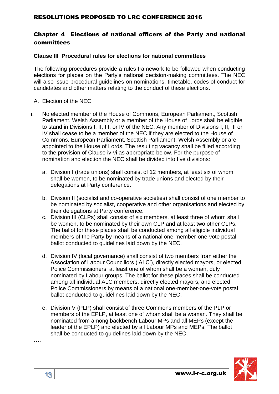# Chapter 4 Elections of national officers of the Party and national committees

#### **Clause III Procedural rules for elections for national committees**

The following procedures provide a rules framework to be followed when conducting elections for places on the Party's national decision-making committees. The NEC will also issue procedural quidelines on nominations, timetable, codes of conduct for candidates and other matters relating to the conduct of these elections.

- A. Election of the NEC
- i. No elected member of the House of Commons, European Parliament, Scottish Parliament, Welsh Assembly or a member of the House of Lords shall be eligible to stand in Divisions I, II, III, or IV of the NEC. Any member of Divisions I, II, III or IV shall cease to be a member of the NEC if they are elected to the House of Commons, European Parliament, Scottish Parliament, Welsh Assembly or are appointed to the House of Lords. The resulting vacancy shall be filled according to the provision of Clause iv-vi as appropriate below. For the purpose of nomination and election the NEC shall be divided into five divisions:
	- a. Division I (trade unions) shall consist of 12 members, at least six of whom shall be women, to be nominated by trade unions and elected by their delegations at Party conference.
	- b. Division II (socialist and co-operative societies) shall consist of one member to be nominated by socialist, cooperative and other organisations and elected by their delegations at Party conference.
	- c. Division III (CLPs) shall consist of six members, at least three of whom shall be women, to be nominated by their own CLP and at least two other CLPs. The ballot for these places shall be conducted among all eligible individual members of the Party by means of a national one-member-one-vote postal ballot conducted to guidelines laid down by the NEC.
	- d. Division IV (local governance) shall consist of two members from either the Association of Labour Councillors ('ALC'), directly elected mayors, or elected Police Commissioners, at least one of whom shall be a woman, duly nominated by Labour groups. The ballot for these places shall be conducted among all individual ALC members, directly elected mayors, and elected Police Commissioners by means of a national one-member-one-vote postal ballot conducted to guidelines laid down by the NEC.
	- e. Division V (PLP) shall consist of three Commons members of the PLP or members of the EPLP, at least one of whom shall be a woman. They shall be nominated from among backbench Labour MPs and all MEPs (except the leader of the EPLP) and elected by all Labour MPs and MEPs. The ballot shall be conducted to guidelines laid down by the NEC.



**….**